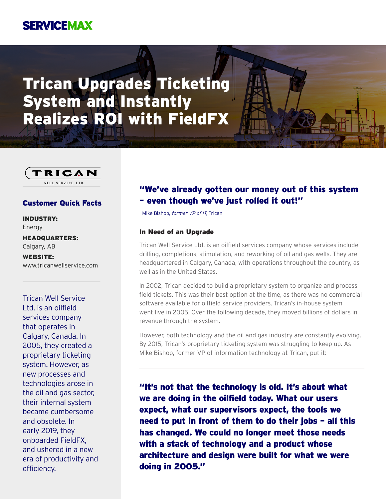# **SERVICEMAX**

# Trican Upgrades Ticketing System and Instantly Realizes ROI with FieldFX



#### Customer Quick Facts

INDUSTRY: Energy

HEADQUARTERS: Calgary, AB

WEBSITE: www.tricanwellservice.com

Trican Well Service Ltd. is an oilfield services company that operates in Calgary, Canada. In 2005, they created a proprietary ticketing system. However, as new processes and technologies arose in the oil and gas sector, their internal system became cumbersome and obsolete. In early 2019, they onboarded FieldFX, and ushered in a new era of productivity and efficiency.

## "We've already gotten our money out of this system – even though we've just rolled it out!"

- Mike Bishop, former VP of IT, Trican

#### In Need of an Upgrade

Trican Well Service Ltd. is an oilfield services company whose services include drilling, completions, stimulation, and reworking of oil and gas wells. They are headquartered in Calgary, Canada, with operations throughout the country, as well as in the United States.

In 2002, Trican decided to build a proprietary system to organize and process field tickets. This was their best option at the time, as there was no commercial software available for oilfield service providers. Trican's in-house system went live in 2005. Over the following decade, they moved billions of dollars in revenue through the system.

However, both technology and the oil and gas industry are constantly evolving. By 2015, Trican's proprietary ticketing system was struggling to keep up. As Mike Bishop, former VP of information technology at Trican, put it:

"It's not that the technology is old. It's about what we are doing in the oilfield today. What our users expect, what our supervisors expect, the tools we need to put in front of them to do their jobs – all this has changed. We could no longer meet those needs with a stack of technology and a product whose architecture and design were built for what we were doing in 2005."